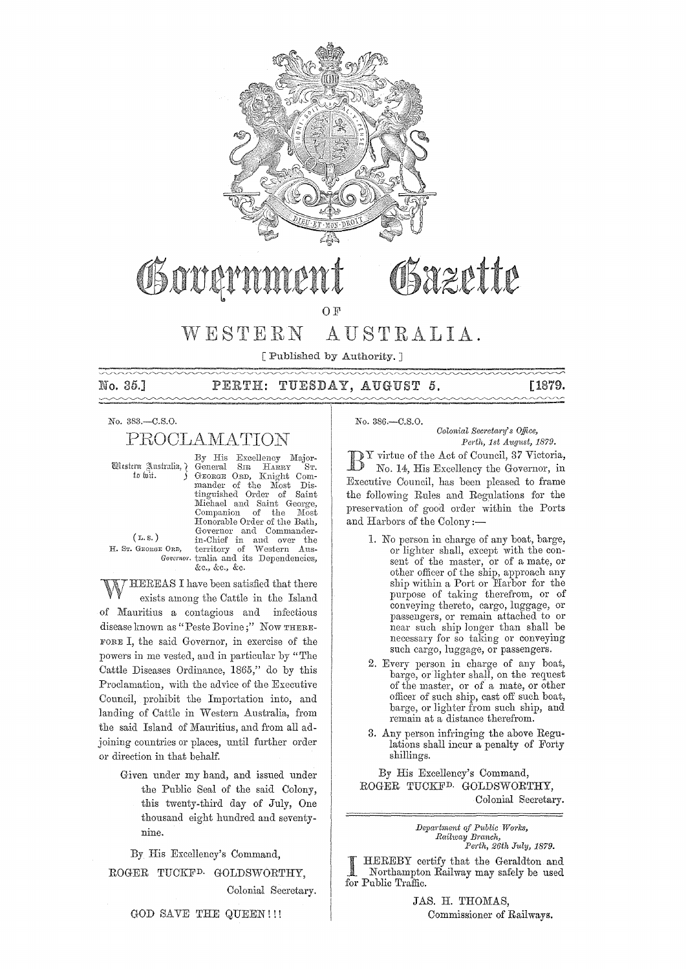

# OSXZETTE Obowarn

OF

#### AUSTRALIA. WESTERN

[Published by Authority, ]

No. 35.1

#### TUESDAY, AUGUST 5.  $\mathtt{PERTH:}$

[1879.  $\sim\sim$ 

No. 383,-C.S.O.

# PROCLAMATION

Western Australia, ¿ to wit.

By His Excellency Major-<br>General SIR HARRY ST. Knight Com-GEORGE ORD, mander of the Most<br>tinguished Order of Dis- $Saint$ Michael and Saint George, Companion of the Most<br>Honorable Order of the Bath, Honoraine Order of the Bath,<br>Governor and Commander-<br>in-Chief in and over the<br>E ORD, territory of Western Aus-<br>Governor tralia and its Dependencies, &c., &c., &c.

 $(L, s)$ H. Sr. GEORGE ORD,

HEREAS I have been satisfied that there exists among the Cattle in the Island of Mauritius a contagious and infectious disease known as "Peste Bovine;" Now THERE-FORE I, the said Governor, in exercise of the powers in me vested, and in particular by "The Cattle Diseases Ordinance, 1865," do by this Proclamation, with the advice of the Executive Council, prohibit the Importation into, and landing of Cattle in Western Australia, from the said Island of Mauritius, and from all adjoining countries or places, until further order or direction in that behalf.

Given under my hand, and issued under the Public Seal of the said Colony, this twenty-third day of July, One thousand eight hundred and seventynine.

By His Excellency's Command,

ROGER TUCKF<sup>D.</sup> GOLDSWORTHY,

Colonial Secretary.

GOD SAVE THE QUEEN!!!

No. 386,-C.S.O. Colonial Secretary's Office,

Perth, 1st August, 1879.

If  $Y$  virtue of the Act of Council, 37 Victoria, No. 14, His Excellency the Governor, in Executive Council, has been pleased to frame the following Rules and Regulations for the preservation of good order within the Ports and Harbors of the Colony:-

- 1. No person in charge of any boat, barge, or lighter shall, except with the con-<br>sent of the master, or of a mate, or other officer of the ship, approach any ship within a Port or Harbor for the purpose of taking therefrom, or of conveying thereto, cargo, luggage, or passengers, or remain attached to or near such ship longer than shall be necessary for so taking or conveying such cargo, luggage, or passengers.
- 2. Every person in charge of any boat, barge, or lighter shall, on the request of the master, or of a mate, or other officer of such ship, cast off such boat, barge, or lighter from such ship, and remain at a distance therefrom.
- 3. Any person infringing the above Regulations shall incur a penalty of Forty shillings.

By His Excellency's Command, ROGER TUCKF<sup>D.</sup> GOLDSWORTHY, Colonial Secretary.

> Department of Public Works, Railway Branch, Perth, 26th July, 1879.

HEREBY certify that the Geraldton and Northampton Railway may safely be used for Public Traffic.

> JAS. H. THOMAS, Commissioner of Railways.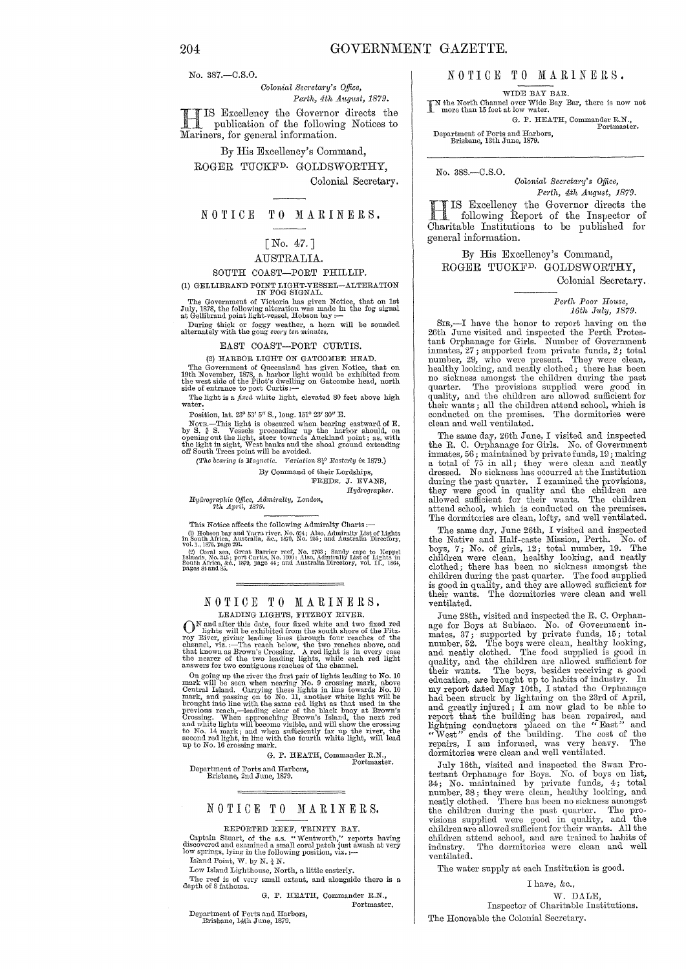No. 387.-C.S.O.

*Colonial Secretary's Office, Perth, 4th August, 1879.* 

**HIS Excellency the Governor directs the publication of the following Notices to** Mariners, for general information.

By His Excellency's Command, ROGER TUCKFD. GOLDSWORTHY, Colonial Secretary.

## NOTICE TO MARINERS.

# [No. 47. ]

#### AUSTRALIA.

#### SOUTH COAST-PORT PHILLIP.

(1) GELLIBRAND POINT LIGHT-VESSEL-ALTERATION IN FOG SIGNAL.

The Government of Victoria has given Notice, that on 1st July, 1878, the following alteration was made in the fog signal at Gellibrand point light-vessel, Hobson bay :--

During thick or foggy weather, a horn will be sounded alternately with the gong *every ten minutes*.

#### EAST COAST-PORT CURTIS.

(2) HARBOR LIGHT ON GATCOMBE HEAD. The Government of Queensland has given Notice, that on 19th November, 1878, a harbor light would be exhibited from the west side of the Pilot's dwelling on Gatcombe head, north side of entrance to port Curtis:--

The light is a *fixed* white light, elevated 80 feet above high

Position, lat. 23° 53' 5" S., long. 151° 23' 30" E.

Norn.—This light is obscured when bearing eastward of E.<br>by S.  $\frac{3}{4}$  S. Vessels proceeding up the harbor should, on<br>opening out the light, steer towards Auckland point; as, with<br>the light in sight, West banks and the s

*(The bearing is Magnetic. Variation*  $8^{10}_{5}$  Easterly *in* 1879.) By Command of their Lordships

FREDK. J. EVANS,

 $Hydrographer.$ 

## *HycJrographie Office, Admiralty, London,*  7th API'iL, 1879.

This Notice affects the following Admiralty Charts:-

and Yarra river, No. 024; Also, Admiralty List of Lights in South Africa, Australia, &c., 1870, No. 255; and Australia Directory, vol. 1., 1876, page 291. (2) Coral sea, Great Barrier reef, No. 2763; Sandy cape to Keppel

500th Arrea, &c., 1879, page 44; and Austrana Directory, vol. 11., 1804,<br>pages S4 and 85.

#### NOTICE TO MARINERS. LEADING LIGHTS, FITZROY RIVER.

LEADING LIGHTS, FTTZEOY EIVER.<br>
LEADING LIGHTS, FTTZEOY EIVER.<br>
The dights will be exhibited from the south shore of the Fitz-<br>
roy River, giving leading lines through four reaches of the<br>
channel, viz.:—The reach below, t

On going up the river the first pair of lights leading to No. 10 mark will be seen when nearing No. 9 crossing mark, above Central Island. Carrying these lights in line towards No. 10 mark, and passing on to No. 11, another white light will be brought into line with the same red light as that used in the previous reach,—leading clear of the bl

G. P. HEATH, Commander R.R, Portmaster. Department of Ports and Harbors, Brisbane, 2nd June, *18i9.* 

#### NOTICE TO MARINERS.

REPORTED REEF, TRINITY BAY.<br>Captain Stuart, of the s.s. "Wentworth," reports having<br>discovered and examined a small coral patch just awash at very<br>low springs, lying in the following position, viz. :--<br>Island Point, W. by

Low Island Lighthouse, North, a little easterly.

The reef is of very small extent, and alongside there is a depth of 8 fathoms.

G. P. HEATH, Commander R.N., Portmaster.

Department of Ports and Harbors, Brisbane, 14th June, 1879.

NOTICE TO MARINERS.

WIDE BAY BAR.

IN the North Channel over Wide Bay Bar, there is now not more than 15 feet at low water.

G. P. HEATH, Commander R.N., Portmaster.

Department of Ports and Harbors, Brisbane, 13th June, 1879.

No. 388.-C.S.0.

*Colonial Secretary's Office, Perth, 4th A1Igltst, 1879.* 

IIS Excellency the Governor directs the following Report of the Inspector of Charitable Institutions to be published for IS Excellency the Governor directs the following Report of the Inspector of general information.

By His Excellency's Command, ROGER TUCKFD. GOLDSWORTHY, Colonial Secretary.

> *Pel·th Poor IIo1lse, 16th* hly, *1879.*

SIR,—I have the honor to report having on the 26th June visited and inspected the Perth Protestant Orphanage for Girls. Number of Government inmates,  $27$ ; supported from private funds,  $2$ ; total number,  $29$ , who were p quarter. The provisions supplied were good in<br>quality, and the children are allowed sufficient for<br>their wants; all the children attend school, which is<br>conducted on the premises. The dormitories were<br>clean and well ventil

The same day, 26th June, I visited and inspected the R. C. Orphanage for Girls. No. of Government<br>inmates, 56; maintained by private funds, 19; making<br>a total of 75 in all; they were clean and neatly<br>dressed. No sickness has occurred at the Institution<br>during the past q they were good in quality and the children are allowed sufficient for their wants. The children attend school, which is conducted on the premises. The dormitories are clean, lofty, and well ventilated.

The same day, June 26th, I visited and inspected<br>the Native and Half-caste Mission, Perth. No. of<br>boys, 7; No. of girls, 12; total number, 19. The<br>children were clean, healthy looking, and neatly<br>clubbed; there has been no is good in quality, and they are allowed sufficient for their wants. The dormitories were clean and well ventilated. ventilated.

June 28th, visited and inspected the R. C. Orphanage for Boys at Subiaco. No. of Government in-<br>mates, 37; supported by private funds, 15; total<br>number, 52. The boys were clean, healthy looking,<br>and neatly clothed. The foo dormitories were clean and well ventilated.

July 16th, visited and inspected the Swan Pro-<br>testant Orphanage for Boys. No. of boys on list,<br>34; No. maintained by private funds, 4; total<br>number, 38; they were clean, healthy looking, and<br>neatly clothed. There has been children attend school, and are trained to habits of industry. The dormitories were clean and well The dormitories were clean and well ventilated.

The water supply at each Institution is good.

I have, &c., W. DALE, Inspector of Charitable Institutions. The Honorable the Colonial Secretary.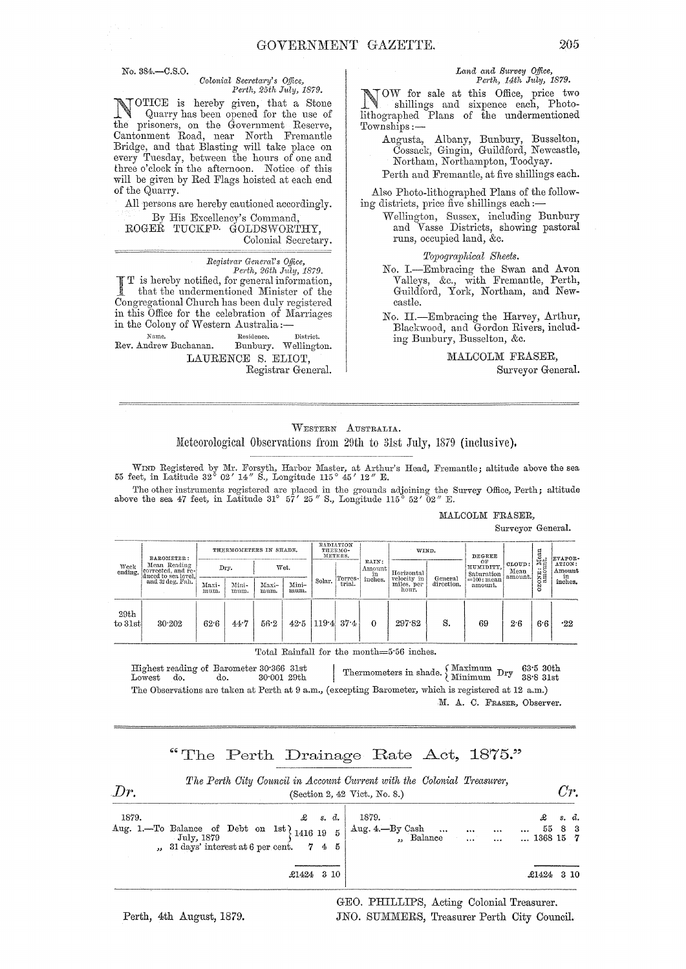No. 384.-C.S.0.

#### *Oolonial 8eC)'etal'Y's Office, Pedh, 25th* hly, *1879.*

NOTICE is hereby given, that a Stone<br>Quarry has been opened for the use of<br>the nuiscasy on the Community Bessure the prisoners, on the Government Reserve, Oantonment Road, near North Fremantle Bridge, and that Blasting will take place on every Tuesday, between the hours of one and three o'clock in the afternoon. Notice of this will be given by Red Flags hoisted at each end of the Quarry.

All persons are hereby cautioned accordingly. By His Excellency's Oommand,

ROGER TUOKFD. GOLDSWORTHY, Oolonial Secretary.

> *Regist)'ar General's Office, Pe)·th, 26th July, 1879.*

I T is hereby notified, for general information, that the undermentioned Minister of the Congregational Church has been duly registered in this Office for the celebration of Marriages in the Colony of Western Australia:-

Name. Residence.<br>Rev. Andrew Buchanan. Bunbury. Bunbury. Wellington. LAURENOE S. ELIOT,

Registrar General.

#### Land and Survey Office, Perth, 14th July, 1879.

NOW for sale at this Office, price two shillings and sixpence each, Photolithographed Plans of the undermentioned Townships :-

Augusta, Albany, Bunbury, Busselton, Oossack, Gingin, Guildford, Newcastle, Northam, Northampton, Toodyay. Perth and Fremantle, at five shillings each.

Also Photo-lithographed Plans of the following districts, price five shillings each: $-$ 

Wellington, Sussex, including Bunbury and Vasse Districts, showing pastoral runs, occupied land, &c.

*Topographical Sheets.* 

No. I.-Embracing the Swan and Avon Valleys, &c., with Fremantle, Perth, Guildford, York, Northam, and Newcastle.

No. H.-Embracing the Harvey, Arthur, Blackwood, and Gordon Rivers, including Bunbury, Busselton, &c.

MALOOLM FRASER,

Surveyor General.

## WESTERN AUSTRALIA. Meteorological Observations from 29th to 31st July, 1879 (inclusive).

-----------~~- WIND Registered by Mr. Forsyth, Harbor Master, at Arthur's Head, Fremantle; altitude above the sea 55 feet, in Latitude 32° 02' 14" S., Longitude 115 ° 45' 12" E.

The other instruments registered are placed in the grounds adjoining the Survey Office, Perth; altitude above the sea 47 feet, in Latitude 31° 57' 25" S., Longitude 115° 52' 02" E.

#### MALCOLM FRASER,

Surveyor General.

| Week<br>ending. | BAROMETER:<br>Mean Reading<br>corrected, and re-<br>duced to sea level,<br>and 32 deg, Fah. | THERMOMETERS IN SHADE. |               |               | RADIATION<br>THERMO-<br>METERS. |                       | WIND.                     |         | DEGREE                        |                           | : Mean                   | EVAPOR-          |     |               |
|-----------------|---------------------------------------------------------------------------------------------|------------------------|---------------|---------------|---------------------------------|-----------------------|---------------------------|---------|-------------------------------|---------------------------|--------------------------|------------------|-----|---------------|
|                 |                                                                                             |                        | Wet.<br>Dry.  |               | Terres-                         | RAIN:<br>Amount<br>in | Horizontal<br>velocity in |         | OF<br>HUMIDITY.<br>Saturation | CLOUD:<br>Mean<br>amount. | ONE <sub>3</sub>         | ATION:<br>Amount |     |               |
|                 |                                                                                             | Maxi-<br>mum.          | Mini-<br>mum. | Maxi-<br>mum. | Mini-<br>mum.                   | Solar.                | trial.                    | inches. | miles, per<br>hour.           | General<br>direction.     | $=100$ : mean<br>amount. |                  | Š   | in<br>inches. |
| 29th<br>to 31st | 30.202                                                                                      | 62.6                   | 44.7          | 56.2          | 42.5                            | 1194                  | 37.4                      | 0       | 297.82                        | S.                        | 69                       | 26               | 6.6 | $\cdot_{22}$  |

Total Rainfall for the month=5'56 inches.

Highest reading of Barometer 30°366 31st<br>Lowest do. do. 30°001 29th Thermometers in shade. {Maximum Dry 63°5 30th<br>Lowest do. do. 30°001 29th The Observations are taken at Perth at 9 a.m., (excepting Barometer, which is registered at 12 a.m.) M. A. C. FRASER, Observer.

# "The Perth Drainage Rate Act, 1875."

| Dr. | The Perth City Council in Account Current with the Colonial Treasurer,<br>(Section 2, 42 Vict., No. 8.)                                                                                                                                                   | $U_{T}$ |                                                                                        |  |
|-----|-----------------------------------------------------------------------------------------------------------------------------------------------------------------------------------------------------------------------------------------------------------|---------|----------------------------------------------------------------------------------------|--|
|     | 1879.<br>Aug. 1.—To Balance of Debt on 1st 1416 19 5 $\begin{array}{ l l }\n\hline\n&3.6 & 1879.\n\hline\n\end{array}$ Aug. 4.—By Cash<br>$\begin{array}{ l l }\n\hline\n\end{array}$ July, 1879<br>,, 31 days' interest at 6 per cent. $7\quad 4\quad 5$ |         | s. d.<br>$\begin{array}{ccc} \ldots & 55 & 8 & 3 \ \ldots & 1368 & 15 & 7 \end{array}$ |  |
|     | £1424 3 10                                                                                                                                                                                                                                                |         | $$1424$ 3 10                                                                           |  |

GEO. PHILLIPS, Acting Colonial Treasurer. JNO. SUMMERS, Treasurer Perth City Council.

Perth, 4th August, 1879.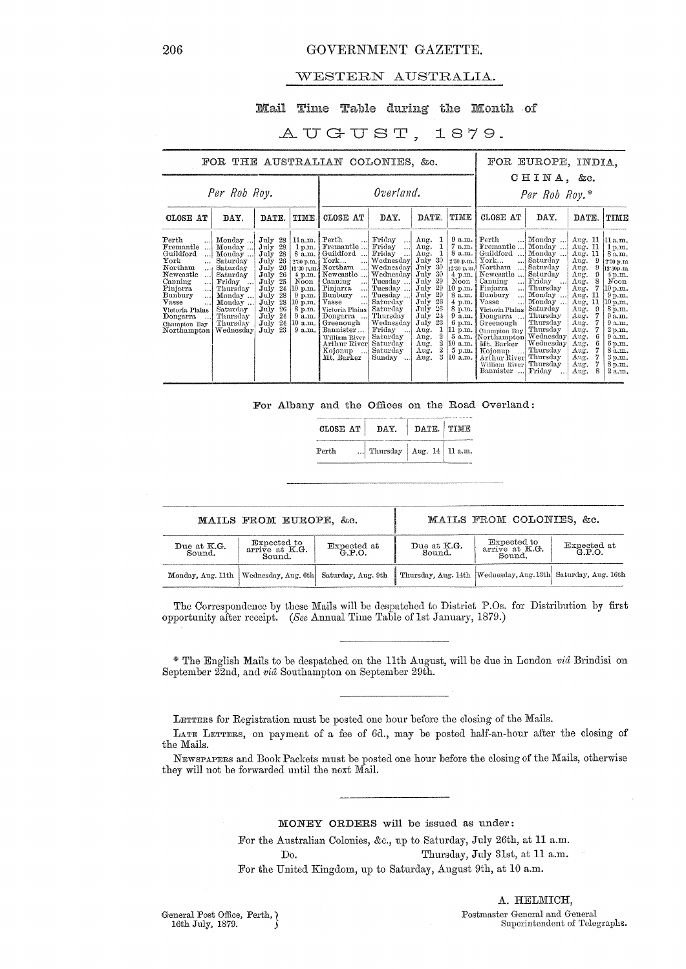## WESTERN AUSTRALIA.

## Mail Time Table during the Month of

#### AUGUST, 1879.

| FOR THE AUSTRALIAN COLONIES, &c.                                                                                                                                                                                                                                                                   |                                                                                                                                                            |                                                                                                                                                                                                  |                                                                                                                                                 |                                                                                                                                                                                                                                                                                                                |                                                                                                                                                                                                                                  |                                                                                                                                                                                                                                                          | FOR EUROPE, INDIA.                                                                                                                                                                                         |                                                                                                                                                                                                                                                                                                                                                        |                                                                                                                                                                                                                                         |                                                                                                                                                                                                                                    |                                                                                                                                                                                                      |
|----------------------------------------------------------------------------------------------------------------------------------------------------------------------------------------------------------------------------------------------------------------------------------------------------|------------------------------------------------------------------------------------------------------------------------------------------------------------|--------------------------------------------------------------------------------------------------------------------------------------------------------------------------------------------------|-------------------------------------------------------------------------------------------------------------------------------------------------|----------------------------------------------------------------------------------------------------------------------------------------------------------------------------------------------------------------------------------------------------------------------------------------------------------------|----------------------------------------------------------------------------------------------------------------------------------------------------------------------------------------------------------------------------------|----------------------------------------------------------------------------------------------------------------------------------------------------------------------------------------------------------------------------------------------------------|------------------------------------------------------------------------------------------------------------------------------------------------------------------------------------------------------------|--------------------------------------------------------------------------------------------------------------------------------------------------------------------------------------------------------------------------------------------------------------------------------------------------------------------------------------------------------|-----------------------------------------------------------------------------------------------------------------------------------------------------------------------------------------------------------------------------------------|------------------------------------------------------------------------------------------------------------------------------------------------------------------------------------------------------------------------------------|------------------------------------------------------------------------------------------------------------------------------------------------------------------------------------------------------|
| Per Rob Roy.                                                                                                                                                                                                                                                                                       |                                                                                                                                                            |                                                                                                                                                                                                  |                                                                                                                                                 | Overland.                                                                                                                                                                                                                                                                                                      |                                                                                                                                                                                                                                  |                                                                                                                                                                                                                                                          |                                                                                                                                                                                                            | CHINA, &c.<br>Per Rob Roy.*                                                                                                                                                                                                                                                                                                                            |                                                                                                                                                                                                                                         |                                                                                                                                                                                                                                    |                                                                                                                                                                                                      |
| TIME<br>CLOSE AT<br>DAY.<br>DATE.                                                                                                                                                                                                                                                                  |                                                                                                                                                            |                                                                                                                                                                                                  | CLOSE AT                                                                                                                                        | DAY.                                                                                                                                                                                                                                                                                                           | DATE.                                                                                                                                                                                                                            | TIME                                                                                                                                                                                                                                                     | CLOSE AT                                                                                                                                                                                                   | DAY.                                                                                                                                                                                                                                                                                                                                                   | DATE.                                                                                                                                                                                                                                   | TIME                                                                                                                                                                                                                               |                                                                                                                                                                                                      |
| $\operatorname*{Perth}% \nolimits_{\mathbb{Z}}\left( \mathcal{M}_{0}^{\ast}\right)$<br>Fremantle<br>Guildford<br>. 1<br>York<br>Northam<br>$\ddotsc$<br>Newcastle<br>$\ddotsc$<br>Canning<br>. 1<br>Pinjarra<br>Bunbury<br><br>Vasse<br>Victoria Plains<br>Dongarra<br>Champion Bay<br>Northampton | Monday<br>Monday<br>Monday<br>Saturday<br>Saturday<br>Saturday<br>Friday<br>Thursday<br>Monday<br>Monday<br>Saturday<br>Thursday<br>Thursday<br>Wednesday. | July<br>28<br>28<br>July<br>July<br>28<br>26<br>July<br>26<br>July<br>26<br>July<br>25<br>July<br>24<br>July<br>28<br>July<br>28<br>July<br>26<br>July<br>July<br>24<br>24<br>July<br>23<br>July | 11a.m.<br>1 p.m.<br>8a.m.<br>2.30 p.m.<br>12.30 p.m.<br>$4$ p.m.<br>Noon<br>10 p.m.<br>9 p.m.<br>10 p.m.<br>8 p.m.<br>9a.m.<br>10 a.m.<br>9a.m. | Perth<br>$\ddots$<br>Fremantle<br>Guildford<br>$\operatorname{York}$<br><br>Northam<br><br>Newcastle<br>Canning<br>المحا<br>Pinjarra<br>المحا<br>Bunbury<br>$\ddotsc$<br>Vasse<br>$\ddotsc$<br>Victoria Plains<br>Dongarra<br>Greenough<br>Bannister<br>William River<br>Arthur River<br>Kojonup<br>Mt. Barker | Friday<br>$\ddots$<br>Friday<br><br>Friday<br>!<br>Wednesday<br>Wednesday<br>Wednesday<br>Tuesday<br>Tuesday<br>Tuesday<br>Saturday<br>Saturday<br>Thursday<br>Wednesday<br>Friday<br>Saturday<br>Saturday<br>Saturday<br>Sunday | Aug.<br>Aug.<br>Aug.<br>July<br>30<br>30<br>July<br>30<br>July<br>29<br>July<br>29<br>July<br>July<br>29<br>26<br>July<br>26<br>July<br>24<br>July<br>July<br>23<br>1<br>Aug.<br>2<br>Aug.<br>$\mathbf 2$<br>Aug.<br>$\overline{2}$<br>Aug.<br>3<br>Aug. | $9$ a.m. $Perth$<br>7 a.m. !<br>8a.m.1<br>12:30 p.m.l<br>$4$ p.m.<br>Noon<br>$ 10 \text{ p.m.} $<br>8 a.m.<br>$4$ p.m.<br>8 p.m.<br>9a.m.<br>6 p.m.<br>11 p.m.<br>$(10 \text{ a.m.})$<br>5 p.m.<br>10 a.m. | $\ddots$<br>Fremantle<br>Guildford<br>2.30 p.m. York<br><br>Northam<br>$\dddotsc$<br>Newcastle<br>Canning<br>$\ddotsc$<br>Pinjarra<br>$\ddotsc$<br>Bunbury<br>$\ddotsc$<br>Vasse<br>Victoria Plains<br>Dongarra<br>Greenough<br>Champion Bay<br>5 a.m. [Northampton] Wednesday]<br>Mt. Barker<br>Kojonup<br>Arthur River<br>William River<br>Bannister | Monday<br>$\ddotsc$<br>Monday<br>Monday<br>Saturday<br>Saturday<br>Saturday<br>Friday<br>. 1<br>Thursday<br>Monday<br>Monday<br>Saturday<br>Thursday<br>Thursday<br>Thursday<br>Wednesday<br>Thursday<br>Thursday<br>Thursday<br>Friday | Aug. 11<br>Aug.<br>-11<br>Aug. 11<br>9<br>Aug.<br>9<br>Aug.<br>Aug.<br>9<br>8<br>Aug.<br>7<br>Aug.<br>Aug.<br>11<br>11<br>Aug.<br>9<br>Aug.<br>Aug.<br>7<br>Aug.<br>Aug.<br>Aug.<br>6<br>Aug.<br>6<br>Aug.<br>Aug.<br>Aug.<br>Aug. | 11 a.m.<br>1 p.m.<br>8 a.m.<br>2.30 p.m<br>12.30p.m<br>4 p.m.<br>Noon<br>10 p.m.<br>9p.m.<br>10 p.m.<br>8 p.m.<br>9a.m.<br>9a.m.<br>2 p.m.<br>9a.m.<br>6 p.m.<br>8a.m.<br>3 p.m.<br>8 p.m.<br>2 a.m. |

For Albany and the Offices on the Road Overland:

| CLOSE AT | <b>DAY</b>                   | DATE. |  |  |
|----------|------------------------------|-------|--|--|
| Perth    | Thursday   Aug. 14   11 a.m. |       |  |  |

|                       | MAILS FROM EUROPE, &c.                                           |                    | MAILS FROM COLONIES, &c.                                         |                                         |                       |  |
|-----------------------|------------------------------------------------------------------|--------------------|------------------------------------------------------------------|-----------------------------------------|-----------------------|--|
| Due at K.G.<br>Sound. | Expected to<br>Expected at<br>arrive at K.G.<br>G.P.O.<br>Sound. |                    | Due at K.G.<br>Sound.                                            | Expected to<br>arrive at K.G.<br>Sound. | Expected at<br>G.P.O. |  |
|                       | Monday, Aug. 11th   Wednesday, Aug. 6th                          | Saturday, Aug. 9th | Thursday, Aug. 14th   Wednesday, Aug. 13th   Saturday, Aug. 16th |                                         |                       |  |

The Correspondence by these Mails will be despatched to District P.Os. for Distribution by first opportunity after receipt. (See Annual Time Table of 1st January, 1879.)

\* The English Mails to be despatched on the 11th August, will be due in London vid Brindisi on September 22nd, and vid Southampton on September 29th.

LETTERS for Registration must be posted one hour before the closing of the Mails.

LATE LETTERS, on payment of a fee of 6d., may be posted half-an-hour after the closing of the Mails.

NEWSPAPERS and Book Packets must be posted one hour before the closing of the Mails, otherwise they will not be forwarded until the next Mail.

MONEY ORDERS will be issued as under:

For the Australian Colonies, &c., up to Saturday, July 26th, at 11 a.m.

Thursday, July 31st, at 11 a.m. Do.

For the United Kingdom, up to Saturday, August 9th, at 10 a.m.

General Post Office, Perth,  $\chi$ 16th July, 1879.

A. HELMICH,  ${\bf Postmaster~General~and~General} \\ {\bf Superintendent~of~Telegraphs.}$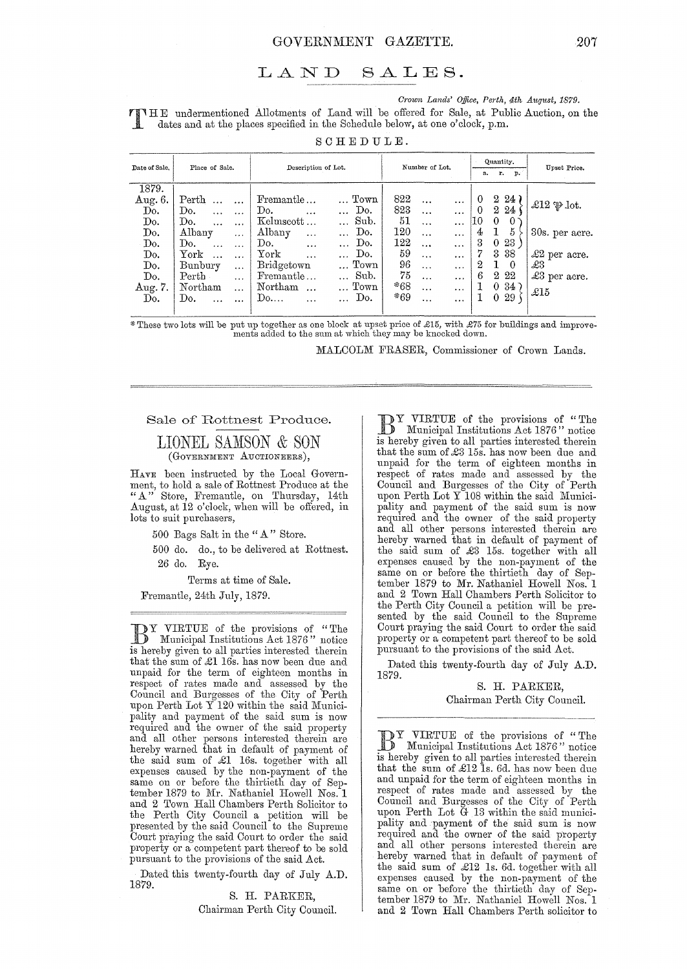#### LAND  $SALES.$

Crown Lands' Office, Perth, 4th August, 1879.

TINHE undermentioned Allotments of Land will be offered for Sale, at Public Auction, on the dates and at the places specified in the Schedule below, at one o'clock, p.m.

SCHEDULE.

| Date of Sale,                    | Place of Sale.                | Description of Lot.         | Number of Lot.                   | Quantity.<br>r. p.<br>a.   | Upset Price.            |  |
|----------------------------------|-------------------------------|-----------------------------|----------------------------------|----------------------------|-------------------------|--|
| 1879.                            |                               |                             | 822                              | $2\;24$                    |                         |  |
| Aug. 6.                          | Perth<br>$\cdots$<br>$\cdots$ | $\ldots$ Town<br>Fremantle  | <br>$\cdots$                     | 0                          | £12 $\mathfrak{P}$ lot. |  |
| $\mathop{\mathrm{Do}}\nolimits.$ | Do.<br>$\cdots$<br>$\cdots$   | Do.<br>Do.<br>$\ddotsc$     | 823<br>$\ddotsc$<br>$\cdots$     | $\theta$<br>$2\,24$        |                         |  |
| Do.                              | Do.<br>$\ddotsc$<br>$\ddotsc$ | Sub.<br>Kelmscott           | 51<br>$\ddotsc$<br>$\cdots$      | $\theta$<br>10<br>$\Omega$ |                         |  |
| Do.                              | Albany<br>$\cdots$            | Albany<br>Do.<br>$\cdots$   | 120<br>$\cdots$<br>$\cdots$      | 5<br>$\mathbf{1}$<br>4     | 30s. per acre.          |  |
| $\mathop{\mathrm{Do}}$ .         | Do.<br>$\dddotsc$<br>$\cdots$ | Do.<br>Do.<br>$\cdots$      | 122<br>$\ddotsc$<br>$\ddotsc$    | 3<br>23<br>0               |                         |  |
| Do.                              | ${\rm York}$<br>$\ddotsc$     | York<br>Do.<br>$\cdots$     | 59<br>$\ddotsc$<br>$\ddotsc$     | 7<br>3<br>38               | $\pounds2$ per acre.    |  |
| $\mathbf{Do}$ .                  | Bunbury<br>$\cdots$           | $\ldots$ Town<br>Bridgetown | 96<br>$\overline{1}$<br>$\cdots$ | 1<br>2<br>$^{\circ}$       | £3                      |  |
| Do.                              | $\rm Perth$<br>$\ddotsc$      | Sub.<br>Fremantle           | 75<br>$\ddotsc$<br>$\cdots$      | $^{2}$<br>22<br>6          | £3 per acre.            |  |
| Aug. 7.                          | Northam<br>$\ddotsc$          | Northam<br>$\ldots$ Town    | *68<br>$\cdots$<br>$\ddotsc$     | $34^-$<br>$\Omega$         | £15                     |  |
| Do.                              | Do.<br>$\ddotsc$<br>$\cdots$  | Do.<br>Do<br>$\cdots$       | *69<br>$\cdots$<br>$\cdots$      | 29<br>0                    |                         |  |
|                                  |                               |                             |                                  |                            |                         |  |

\*These two lots will be put up together as one block at upset price of £15, with £75 for buildings and improvements added to the sum at which they may be knocked down.

MALCOLM FRASER, Commissioner of Crown Lands.

#### Sale of Rottnest Produce.

## LIONEL SAMSON & SON (GOVERNMENT AUCTIONEERS),

HAVE been instructed by the Local Government, to hold a sale of Rottnest Produce at the<br>"A" Store, Fremantle, on Thursday, 14th<br>August, at 12 o'clock, when will be offered, in lots to suit purchasers,

500 Bags Salt in the "A" Store.

500 do. do., to be delivered at Rottnest.

26 do. Rye.

Terms at time of Sale.

Fremantle, 24th July, 1879.

**DY VIRTUE** of the provisions of "The Municipal Institutions Act 1876" notice is hereby given to all parties interested therein that the sum of £1 16s. has now been due and unpaid for the term of eighteen months in<br>respect of rates made and assessed by the Council and Burgesses of the City of Perth upon Perth Lot Y 120 within the said Municipality and payment of the said sum is now<br>required and the owner of the said property and all other persons interested therein are<br>hereby warned that in default of payment of<br>the said sum of £1 16s. together with all expenses caused by the non-payment of the same on or before the thirtieth day of September 1879 to Mr. Nathaniel Howell Nos. 1 and 2 Town Hall Chambers Perth Solicitor to the Perth City Council a petition will be presented by the said Council to the Supreme Court praying the said Court to order the said property or a competent part thereof to be sold pursuant to the provisions of the said Act.

Dated this twenty-fourth day of July A.D. 1879.

> S. H. PARKER, Chairman Perth City Council.

DY VIRTUE of the provisions of "The<br>D Municipal Institutions Act 1876" notice is hereby given to all parties interested therein that the sum of £3 15s. has now been due and unpaid for the term of eighteen months in respect of rates made and assessed by the Council and Burgesses of the City of Perth upon Perth Lot Y 108 within the said Municipality and payment of the said sum is now required and the owner of the said property and all other persons interested therein are<br>hereby warned that in default of payment of the said sum of £3 15s. together with all expenses caused by the non-payment of the<br>same on or before the thirtieth day of September 1879 to Mr. Nathaniel Howell Nos. 1 and 2 Town Hall Chambers Perth Solicitor to the Perth City Council a petition will be presented by the said Council to the Supreme Court praying the said Court to order the said property or a competent part thereof to be sold pursuant to the provisions of the said Act.

Dated this twenty-fourth day of July A.D. 1879.

S. H. PARKER, Chairman Perth City Council.

DY VIRTUE of the provisions of "The Municipal Institutions Act 1876" notice is hereby given to all parties interested therein that the sum of  $\pounds12$  Is. 6d. has now been due and unpaid for the term of eighteen months in respect of rates made and assessed by the Council and Burgesses of the City of Perth<br>upon Perth Lot G 13 within the said municipality and payment of the said sum is now required and the owner of the said property and all other persons interested therein are hereby warned that in default of payment of the said sum of £12 1s. 6d. together with all expenses caused by the non-payment of the same on or before the thirtieth day of September 1879 to Mr. Nathaniel Howell Nos. 1 and 2 Town Hall Chambers Perth solicitor to